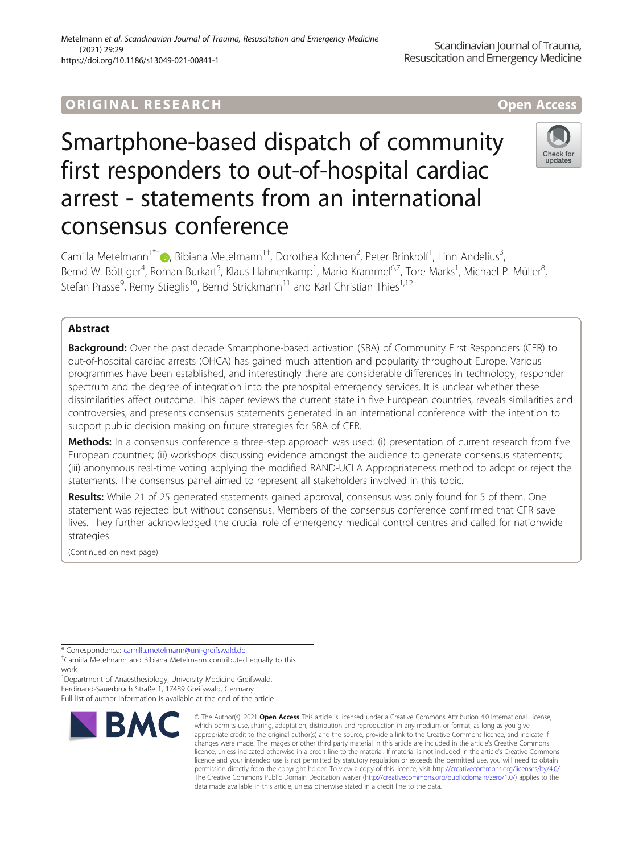# ORIGINA L R E S EA RCH Open Access

# Smartphone-based dispatch of community first responders to out-of-hospital cardiac arrest - statements from an international consensus conference

Check for

Camilla Metelmann<sup>1\*[†](http://orcid.org/0000-0002-6145-9021)</sup>®, Bibiana Metelmann<sup>1†</sup>, Dorothea Kohnen<sup>2</sup>, Peter Brinkrolf<sup>1</sup>, Linn Andelius<sup>3</sup> , Bernd W. Böttiger<sup>4</sup>, Roman Burkart<sup>5</sup>, Klaus Hahnenkamp<sup>1</sup>, Mario Krammel<sup>6,7</sup>, Tore Marks<sup>1</sup>, Michael P. Müller<sup>8</sup> ;<br>, Stefan Prasse<sup>9</sup>, Remy Stieglis<sup>10</sup>, Bernd Strickmann<sup>11</sup> and Karl Christian Thies<sup>1,12</sup>

# Abstract

**Background:** Over the past decade Smartphone-based activation (SBA) of Community First Responders (CFR) to out-of-hospital cardiac arrests (OHCA) has gained much attention and popularity throughout Europe. Various programmes have been established, and interestingly there are considerable differences in technology, responder spectrum and the degree of integration into the prehospital emergency services. It is unclear whether these dissimilarities affect outcome. This paper reviews the current state in five European countries, reveals similarities and controversies, and presents consensus statements generated in an international conference with the intention to support public decision making on future strategies for SBA of CFR.

Methods: In a consensus conference a three-step approach was used: (i) presentation of current research from five European countries; (ii) workshops discussing evidence amongst the audience to generate consensus statements; (iii) anonymous real-time voting applying the modified RAND-UCLA Appropriateness method to adopt or reject the statements. The consensus panel aimed to represent all stakeholders involved in this topic.

Results: While 21 of 25 generated statements gained approval, consensus was only found for 5 of them. One statement was rejected but without consensus. Members of the consensus conference confirmed that CFR save lives. They further acknowledged the crucial role of emergency medical control centres and called for nationwide strategies.

(Continued on next page)

\* Correspondence: [camilla.metelmann@uni-greifswald.de](mailto:camilla.metelmann@uni-greifswald.de) †

Camilla Metelmann and Bibiana Metelmann contributed equally to this work.

<sup>1</sup>Department of Anaesthesiology, University Medicine Greifswald, Ferdinand-Sauerbruch Straße 1, 17489 Greifswald, Germany

Full list of author information is available at the end of the article



© The Author(s), 2021 **Open Access** This article is licensed under a Creative Commons Attribution 4.0 International License, which permits use, sharing, adaptation, distribution and reproduction in any medium or format, as long as you give appropriate credit to the original author(s) and the source, provide a link to the Creative Commons licence, and indicate if changes were made. The images or other third party material in this article are included in the article's Creative Commons licence, unless indicated otherwise in a credit line to the material. If material is not included in the article's Creative Commons licence and your intended use is not permitted by statutory regulation or exceeds the permitted use, you will need to obtain permission directly from the copyright holder. To view a copy of this licence, visit [http://creativecommons.org/licenses/by/4.0/.](http://creativecommons.org/licenses/by/4.0/) The Creative Commons Public Domain Dedication waiver [\(http://creativecommons.org/publicdomain/zero/1.0/](http://creativecommons.org/publicdomain/zero/1.0/)) applies to the data made available in this article, unless otherwise stated in a credit line to the data.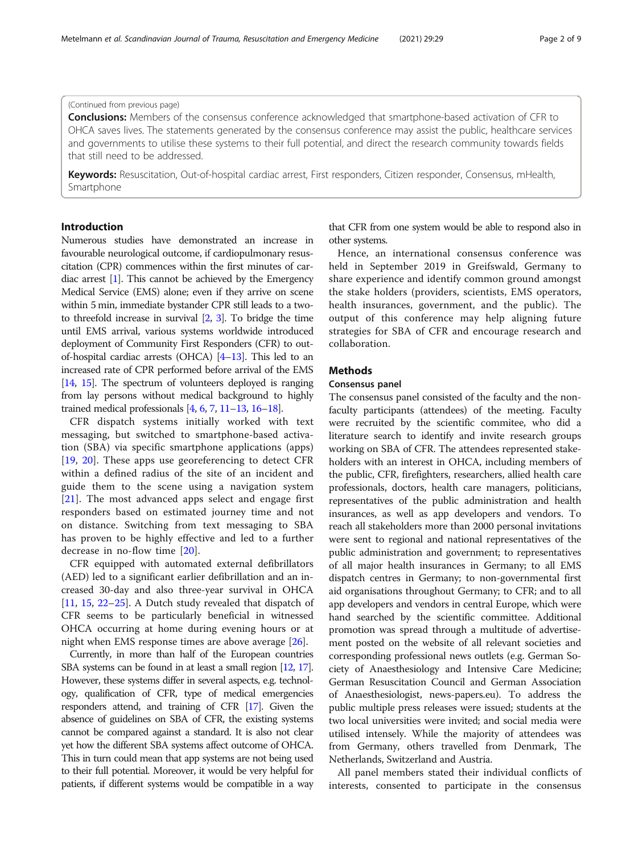# (Continued from previous page)

**Conclusions:** Members of the consensus conference acknowledged that smartphone-based activation of CFR to OHCA saves lives. The statements generated by the consensus conference may assist the public, healthcare services and governments to utilise these systems to their full potential, and direct the research community towards fields that still need to be addressed.

Keywords: Resuscitation, Out-of-hospital cardiac arrest, First responders, Citizen responder, Consensus, mHealth, Smartphone

# Introduction

Numerous studies have demonstrated an increase in favourable neurological outcome, if cardiopulmonary resuscitation (CPR) commences within the first minutes of cardiac arrest [\[1](#page-7-0)]. This cannot be achieved by the Emergency Medical Service (EMS) alone; even if they arrive on scene within 5 min, immediate bystander CPR still leads to a twoto threefold increase in survival [\[2,](#page-7-0) [3](#page-7-0)]. To bridge the time until EMS arrival, various systems worldwide introduced deployment of Community First Responders (CFR) to outof-hospital cardiac arrests (OHCA) [[4](#page-7-0)–[13\]](#page-7-0). This led to an increased rate of CPR performed before arrival of the EMS [[14](#page-7-0), [15\]](#page-7-0). The spectrum of volunteers deployed is ranging from lay persons without medical background to highly trained medical professionals [[4](#page-7-0), [6,](#page-7-0) [7](#page-7-0), [11](#page-7-0)–[13](#page-7-0), [16](#page-7-0)–[18](#page-7-0)].

CFR dispatch systems initially worked with text messaging, but switched to smartphone-based activation (SBA) via specific smartphone applications (apps) [[19,](#page-7-0) [20](#page-7-0)]. These apps use georeferencing to detect CFR within a defined radius of the site of an incident and guide them to the scene using a navigation system [[21\]](#page-7-0). The most advanced apps select and engage first responders based on estimated journey time and not on distance. Switching from text messaging to SBA has proven to be highly effective and led to a further decrease in no-flow time [[20\]](#page-7-0).

CFR equipped with automated external defibrillators (AED) led to a significant earlier defibrillation and an increased 30-day and also three-year survival in OHCA [[11,](#page-7-0) [15,](#page-7-0) [22](#page-7-0)–[25](#page-7-0)]. A Dutch study revealed that dispatch of CFR seems to be particularly beneficial in witnessed OHCA occurring at home during evening hours or at night when EMS response times are above average [[26](#page-7-0)].

Currently, in more than half of the European countries SBA systems can be found in at least a small region [\[12,](#page-7-0) [17\]](#page-7-0). However, these systems differ in several aspects, e.g. technology, qualification of CFR, type of medical emergencies responders attend, and training of CFR [\[17](#page-7-0)]. Given the absence of guidelines on SBA of CFR, the existing systems cannot be compared against a standard. It is also not clear yet how the different SBA systems affect outcome of OHCA. This in turn could mean that app systems are not being used to their full potential. Moreover, it would be very helpful for patients, if different systems would be compatible in a way that CFR from one system would be able to respond also in other systems.

Hence, an international consensus conference was held in September 2019 in Greifswald, Germany to share experience and identify common ground amongst the stake holders (providers, scientists, EMS operators, health insurances, government, and the public). The output of this conference may help aligning future strategies for SBA of CFR and encourage research and collaboration.

# **Methods**

# Consensus panel

The consensus panel consisted of the faculty and the nonfaculty participants (attendees) of the meeting. Faculty were recruited by the scientific commitee, who did a literature search to identify and invite research groups working on SBA of CFR. The attendees represented stakeholders with an interest in OHCA, including members of the public, CFR, firefighters, researchers, allied health care professionals, doctors, health care managers, politicians, representatives of the public administration and health insurances, as well as app developers and vendors. To reach all stakeholders more than 2000 personal invitations were sent to regional and national representatives of the public administration and government; to representatives of all major health insurances in Germany; to all EMS dispatch centres in Germany; to non-governmental first aid organisations throughout Germany; to CFR; and to all app developers and vendors in central Europe, which were hand searched by the scientific committee. Additional promotion was spread through a multitude of advertisement posted on the website of all relevant societies and corresponding professional news outlets (e.g. German Society of Anaesthesiology and Intensive Care Medicine; German Resuscitation Council and German Association of Anaesthesiologist, news-papers.eu). To address the public multiple press releases were issued; students at the two local universities were invited; and social media were utilised intensely. While the majority of attendees was from Germany, others travelled from Denmark, The Netherlands, Switzerland and Austria.

All panel members stated their individual conflicts of interests, consented to participate in the consensus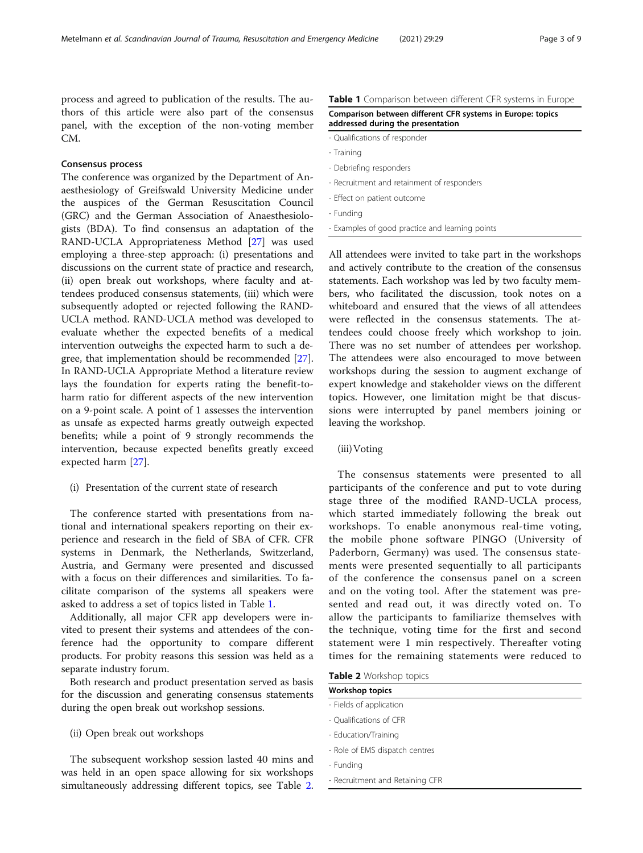process and agreed to publication of the results. The authors of this article were also part of the consensus panel, with the exception of the non-voting member CM.

# Consensus process

The conference was organized by the Department of Anaesthesiology of Greifswald University Medicine under the auspices of the German Resuscitation Council (GRC) and the German Association of Anaesthesiologists (BDA). To find consensus an adaptation of the RAND-UCLA Appropriateness Method [[27\]](#page-7-0) was used employing a three-step approach: (i) presentations and discussions on the current state of practice and research, (ii) open break out workshops, where faculty and attendees produced consensus statements, (iii) which were subsequently adopted or rejected following the RAND-UCLA method. RAND-UCLA method was developed to evaluate whether the expected benefits of a medical intervention outweighs the expected harm to such a degree, that implementation should be recommended [\[27](#page-7-0)]. In RAND-UCLA Appropriate Method a literature review lays the foundation for experts rating the benefit-toharm ratio for different aspects of the new intervention on a 9-point scale. A point of 1 assesses the intervention as unsafe as expected harms greatly outweigh expected benefits; while a point of 9 strongly recommends the intervention, because expected benefits greatly exceed expected harm [\[27](#page-7-0)].

(i) Presentation of the current state of research

The conference started with presentations from national and international speakers reporting on their experience and research in the field of SBA of CFR. CFR systems in Denmark, the Netherlands, Switzerland, Austria, and Germany were presented and discussed with a focus on their differences and similarities. To facilitate comparison of the systems all speakers were asked to address a set of topics listed in Table 1.

Additionally, all major CFR app developers were invited to present their systems and attendees of the conference had the opportunity to compare different products. For probity reasons this session was held as a separate industry forum.

Both research and product presentation served as basis for the discussion and generating consensus statements during the open break out workshop sessions.

(ii) Open break out workshops

The subsequent workshop session lasted 40 mins and was held in an open space allowing for six workshops simultaneously addressing different topics, see Table 2.

Table 1 Comparison between different CFR systems in Europe

| Comparison between different CFR systems in Europe: topics |  |
|------------------------------------------------------------|--|
| addressed during the presentation                          |  |

| - Qualifications of responder |  |
|-------------------------------|--|
| - Training                    |  |
| - Debriefing responders       |  |

- Recruitment and retainment of responders
- Effect on patient outcome
- Funding
- Examples of good practice and learning points

All attendees were invited to take part in the workshops and actively contribute to the creation of the consensus statements. Each workshop was led by two faculty members, who facilitated the discussion, took notes on a whiteboard and ensured that the views of all attendees were reflected in the consensus statements. The attendees could choose freely which workshop to join. There was no set number of attendees per workshop. The attendees were also encouraged to move between workshops during the session to augment exchange of expert knowledge and stakeholder views on the different topics. However, one limitation might be that discussions were interrupted by panel members joining or leaving the workshop.

# (iii)Voting

The consensus statements were presented to all participants of the conference and put to vote during stage three of the modified RAND-UCLA process, which started immediately following the break out workshops. To enable anonymous real-time voting, the mobile phone software PINGO (University of Paderborn, Germany) was used. The consensus statements were presented sequentially to all participants of the conference the consensus panel on a screen and on the voting tool. After the statement was presented and read out, it was directly voted on. To allow the participants to familiarize themselves with the technique, voting time for the first and second statement were 1 min respectively. Thereafter voting times for the remaining statements were reduced to

|  | Table 2 Workshop topics |  |
|--|-------------------------|--|
|  |                         |  |

| <b>Workshop topics</b>         |
|--------------------------------|
| - Fields of application        |
| - Qualifications of CFR        |
| - Education/Training           |
| - Role of EMS dispatch centres |
| - Funding                      |
|                                |

- Recruitment and Retaining CFR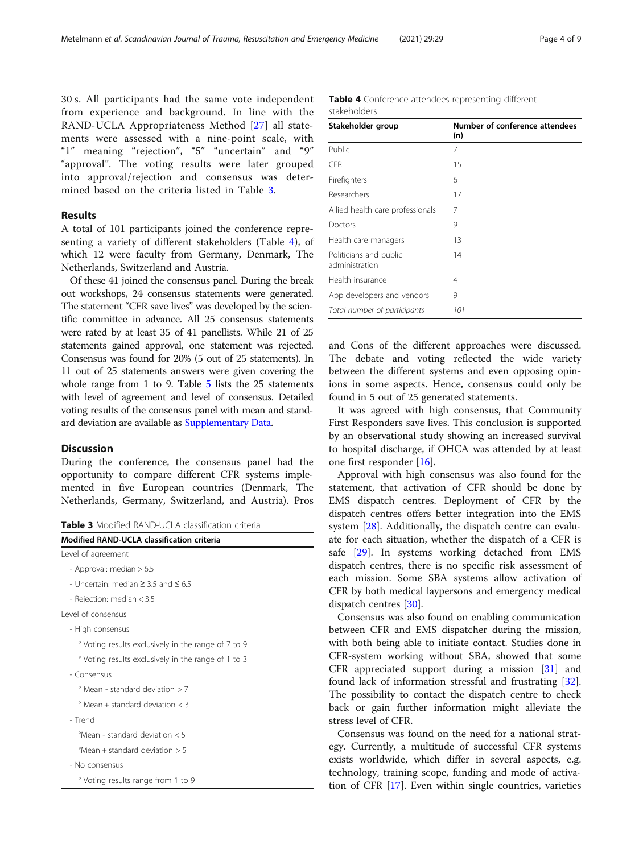30 s. All participants had the same vote independent from experience and background. In line with the RAND-UCLA Appropriateness Method [[27](#page-7-0)] all statements were assessed with a nine-point scale, with "1" meaning "rejection", "5" "uncertain" and "9" "approval". The voting results were later grouped into approval/rejection and consensus was determined based on the criteria listed in Table 3.

# Results

A total of 101 participants joined the conference representing a variety of different stakeholders (Table 4), of which 12 were faculty from Germany, Denmark, The Netherlands, Switzerland and Austria.

Of these 41 joined the consensus panel. During the break out workshops, 24 consensus statements were generated. The statement "CFR save lives" was developed by the scientific committee in advance. All 25 consensus statements were rated by at least 35 of 41 panellists. While 21 of 25 statements gained approval, one statement was rejected. Consensus was found for 20% (5 out of 25 statements). In 11 out of 25 statements answers were given covering the whole range from 1 to 9. Table [5](#page-4-0) lists the 25 statements with level of agreement and level of consensus. Detailed voting results of the consensus panel with mean and standard deviation are available as [Supplementary Data](#page-6-0).

# **Discussion**

During the conference, the consensus panel had the opportunity to compare different CFR systems implemented in five European countries (Denmark, The Netherlands, Germany, Switzerland, and Austria). Pros

Table 3 Modified RAND-UCLA classification criteria

| Modified RAND-UCLA classification criteria          |
|-----------------------------------------------------|
| Level of agreement                                  |
| - Approval: median > 6.5                            |
| - Uncertain: median $\geq$ 3.5 and $\leq$ 6.5       |
| - Rejection: median $< 3.5$                         |
| Level of consensus                                  |
| - High consensus                                    |
| ° Voting results exclusively in the range of 7 to 9 |
| ° Voting results exclusively in the range of 1 to 3 |
| - Consensus                                         |
| <sup>o</sup> Mean - standard deviation > 7          |
| $^{\circ}$ Mean + standard deviation $<$ 3          |
| - Trend                                             |
| °Mean - standard deviation < 5                      |
| $^{\circ}$ Mean + standard deviation $>$ 5          |
| - No consensus                                      |
| ° Voting results range from 1 to 9                  |

| <b>Table 4</b> Conference attendees representing different |  |  |
|------------------------------------------------------------|--|--|
| stakeholders                                               |  |  |

| Stakeholder group                        | Number of conference attendees<br>(n) |
|------------------------------------------|---------------------------------------|
| Public                                   | 7                                     |
| <b>CFR</b>                               | 15                                    |
| Firefighters                             | 6                                     |
| Researchers                              | 17                                    |
| Allied health care professionals         | 7                                     |
| Doctors                                  | 9                                     |
| Health care managers                     | 13                                    |
| Politicians and public<br>administration | 14                                    |
| Health insurance                         | 4                                     |
| App developers and vendors               | 9                                     |
| Total number of participants             | 101                                   |

and Cons of the different approaches were discussed. The debate and voting reflected the wide variety between the different systems and even opposing opinions in some aspects. Hence, consensus could only be found in 5 out of 25 generated statements.

It was agreed with high consensus, that Community First Responders save lives. This conclusion is supported by an observational study showing an increased survival to hospital discharge, if OHCA was attended by at least one first responder [[16](#page-7-0)].

Approval with high consensus was also found for the statement, that activation of CFR should be done by EMS dispatch centres. Deployment of CFR by the dispatch centres offers better integration into the EMS system [\[28\]](#page-7-0). Additionally, the dispatch centre can evaluate for each situation, whether the dispatch of a CFR is safe [[29](#page-7-0)]. In systems working detached from EMS dispatch centres, there is no specific risk assessment of each mission. Some SBA systems allow activation of CFR by both medical laypersons and emergency medical dispatch centres [\[30\]](#page-7-0).

Consensus was also found on enabling communication between CFR and EMS dispatcher during the mission, with both being able to initiate contact. Studies done in CFR-system working without SBA, showed that some CFR appreciated support during a mission [\[31](#page-7-0)] and found lack of information stressful and frustrating [\[32](#page-7-0)]. The possibility to contact the dispatch centre to check back or gain further information might alleviate the stress level of CFR.

Consensus was found on the need for a national strategy. Currently, a multitude of successful CFR systems exists worldwide, which differ in several aspects, e.g. technology, training scope, funding and mode of activation of CFR [[17](#page-7-0)]. Even within single countries, varieties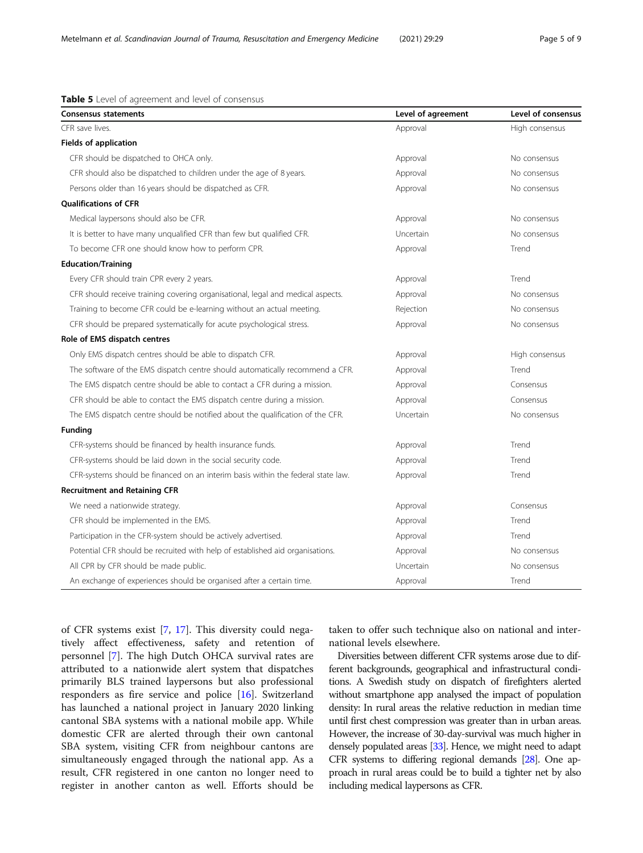# <span id="page-4-0"></span>Table 5 Level of agreement and level of consensus

| <b>Consensus statements</b>                                                      | Level of agreement | Level of consensus |
|----------------------------------------------------------------------------------|--------------------|--------------------|
| CFR save lives.                                                                  | Approval           | High consensus     |
| <b>Fields of application</b>                                                     |                    |                    |
| CFR should be dispatched to OHCA only.                                           | Approval           | No consensus       |
| CFR should also be dispatched to children under the age of 8 years.              | Approval           | No consensus       |
| Persons older than 16 years should be dispatched as CFR.                         | Approval           | No consensus       |
| <b>Qualifications of CFR</b>                                                     |                    |                    |
| Medical laypersons should also be CFR.                                           | Approval           | No consensus       |
| It is better to have many unqualified CFR than few but qualified CFR.            | Uncertain          | No consensus       |
| To become CFR one should know how to perform CPR.                                | Approval           | Trend              |
| <b>Education/Training</b>                                                        |                    |                    |
| Every CFR should train CPR every 2 years.                                        | Approval           | Trend              |
| CFR should receive training covering organisational, legal and medical aspects.  | Approval           | No consensus       |
| Training to become CFR could be e-learning without an actual meeting.            | Rejection          | No consensus       |
| CFR should be prepared systematically for acute psychological stress.            | Approval           | No consensus       |
| Role of EMS dispatch centres                                                     |                    |                    |
| Only EMS dispatch centres should be able to dispatch CFR.                        | Approval           | High consensus     |
| The software of the EMS dispatch centre should automatically recommend a CFR.    | Approval           | Trend              |
| The EMS dispatch centre should be able to contact a CFR during a mission.        | Approval           | Consensus          |
| CFR should be able to contact the EMS dispatch centre during a mission.          | Approval           | Consensus          |
| The EMS dispatch centre should be notified about the qualification of the CFR.   | Uncertain          | No consensus       |
| <b>Funding</b>                                                                   |                    |                    |
| CFR-systems should be financed by health insurance funds.                        | Approval           | Trend              |
| CFR-systems should be laid down in the social security code.                     | Approval           | Trend              |
| CFR-systems should be financed on an interim basis within the federal state law. | Approval           | Trend              |
| <b>Recruitment and Retaining CFR</b>                                             |                    |                    |
| We need a nationwide strategy.                                                   | Approval           | Consensus          |
| CFR should be implemented in the EMS.                                            | Approval           | Trend              |
| Participation in the CFR-system should be actively advertised.                   | Approval           | Trend              |
| Potential CFR should be recruited with help of established aid organisations.    | Approval           | No consensus       |
| All CPR by CFR should be made public.                                            | Uncertain          | No consensus       |
| An exchange of experiences should be organised after a certain time.             | Approval           | Trend              |

of CFR systems exist [\[7](#page-7-0), [17](#page-7-0)]. This diversity could negatively affect effectiveness, safety and retention of personnel [\[7](#page-7-0)]. The high Dutch OHCA survival rates are attributed to a nationwide alert system that dispatches primarily BLS trained laypersons but also professional responders as fire service and police [[16\]](#page-7-0). Switzerland has launched a national project in January 2020 linking cantonal SBA systems with a national mobile app. While domestic CFR are alerted through their own cantonal SBA system, visiting CFR from neighbour cantons are simultaneously engaged through the national app. As a result, CFR registered in one canton no longer need to register in another canton as well. Efforts should be taken to offer such technique also on national and international levels elsewhere.

Diversities between different CFR systems arose due to different backgrounds, geographical and infrastructural conditions. A Swedish study on dispatch of firefighters alerted without smartphone app analysed the impact of population density: In rural areas the relative reduction in median time until first chest compression was greater than in urban areas. However, the increase of 30-day-survival was much higher in densely populated areas [\[33](#page-7-0)]. Hence, we might need to adapt CFR systems to differing regional demands [\[28](#page-7-0)]. One approach in rural areas could be to build a tighter net by also including medical laypersons as CFR.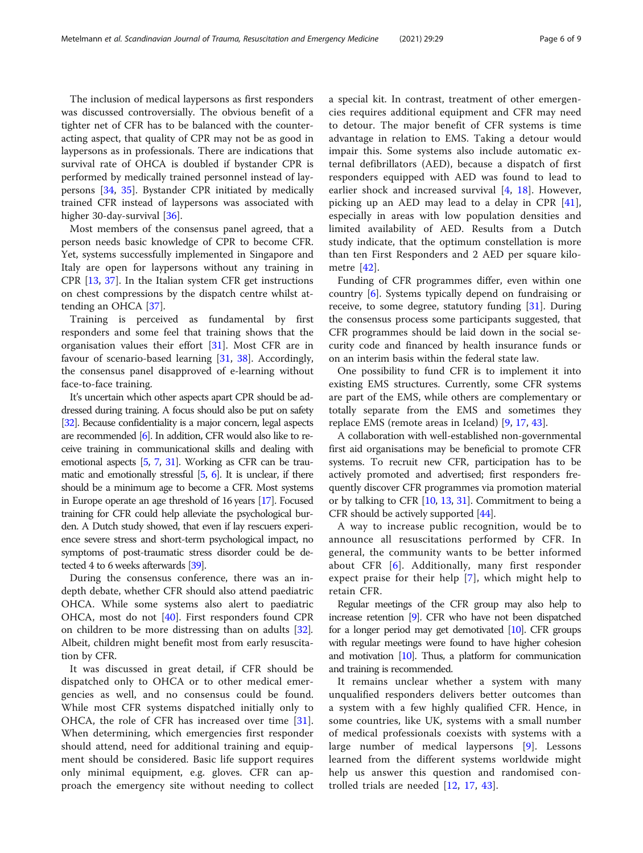The inclusion of medical laypersons as first responders was discussed controversially. The obvious benefit of a tighter net of CFR has to be balanced with the counteracting aspect, that quality of CPR may not be as good in laypersons as in professionals. There are indications that survival rate of OHCA is doubled if bystander CPR is performed by medically trained personnel instead of laypersons [[34,](#page-7-0) [35](#page-7-0)]. Bystander CPR initiated by medically trained CFR instead of laypersons was associated with higher 30-day-survival [[36\]](#page-7-0).

Most members of the consensus panel agreed, that a person needs basic knowledge of CPR to become CFR. Yet, systems successfully implemented in Singapore and Italy are open for laypersons without any training in CPR [[13](#page-7-0), [37\]](#page-7-0). In the Italian system CFR get instructions on chest compressions by the dispatch centre whilst attending an OHCA [\[37](#page-7-0)].

Training is perceived as fundamental by first responders and some feel that training shows that the organisation values their effort [\[31\]](#page-7-0). Most CFR are in favour of scenario-based learning [[31](#page-7-0), [38\]](#page-7-0). Accordingly, the consensus panel disapproved of e-learning without face-to-face training.

It's uncertain which other aspects apart CPR should be addressed during training. A focus should also be put on safety [[32\]](#page-7-0). Because confidentiality is a major concern, legal aspects are recommended [\[6](#page-7-0)]. In addition, CFR would also like to receive training in communicational skills and dealing with emotional aspects [[5](#page-7-0), [7,](#page-7-0) [31\]](#page-7-0). Working as CFR can be traumatic and emotionally stressful [[5](#page-7-0), [6\]](#page-7-0). It is unclear, if there should be a minimum age to become a CFR. Most systems in Europe operate an age threshold of 16 years [\[17](#page-7-0)]. Focused training for CFR could help alleviate the psychological burden. A Dutch study showed, that even if lay rescuers experience severe stress and short-term psychological impact, no symptoms of post-traumatic stress disorder could be detected 4 to 6 weeks afterwards [\[39](#page-8-0)].

During the consensus conference, there was an indepth debate, whether CFR should also attend paediatric OHCA. While some systems also alert to paediatric OHCA, most do not [[40\]](#page-8-0). First responders found CPR on children to be more distressing than on adults [\[32](#page-7-0)]. Albeit, children might benefit most from early resuscitation by CFR.

It was discussed in great detail, if CFR should be dispatched only to OHCA or to other medical emergencies as well, and no consensus could be found. While most CFR systems dispatched initially only to OHCA, the role of CFR has increased over time [\[31](#page-7-0)]. When determining, which emergencies first responder should attend, need for additional training and equipment should be considered. Basic life support requires only minimal equipment, e.g. gloves. CFR can approach the emergency site without needing to collect a special kit. In contrast, treatment of other emergencies requires additional equipment and CFR may need to detour. The major benefit of CFR systems is time advantage in relation to EMS. Taking a detour would impair this. Some systems also include automatic external defibrillators (AED), because a dispatch of first responders equipped with AED was found to lead to earlier shock and increased survival  $[4, 18]$  $[4, 18]$  $[4, 18]$  $[4, 18]$ . However, picking up an AED may lead to a delay in CPR [\[41](#page-8-0)], especially in areas with low population densities and limited availability of AED. Results from a Dutch study indicate, that the optimum constellation is more than ten First Responders and 2 AED per square kilometre [\[42](#page-8-0)].

Funding of CFR programmes differ, even within one country [\[6](#page-7-0)]. Systems typically depend on fundraising or receive, to some degree, statutory funding [\[31](#page-7-0)]. During the consensus process some participants suggested, that CFR programmes should be laid down in the social security code and financed by health insurance funds or on an interim basis within the federal state law.

One possibility to fund CFR is to implement it into existing EMS structures. Currently, some CFR systems are part of the EMS, while others are complementary or totally separate from the EMS and sometimes they replace EMS (remote areas in Iceland) [[9,](#page-7-0) [17,](#page-7-0) [43](#page-8-0)].

A collaboration with well-established non-governmental first aid organisations may be beneficial to promote CFR systems. To recruit new CFR, participation has to be actively promoted and advertised; first responders frequently discover CFR programmes via promotion material or by talking to CFR [[10](#page-7-0), [13](#page-7-0), [31\]](#page-7-0). Commitment to being a CFR should be actively supported [[44](#page-8-0)].

A way to increase public recognition, would be to announce all resuscitations performed by CFR. In general, the community wants to be better informed about CFR [[6\]](#page-7-0). Additionally, many first responder expect praise for their help [\[7](#page-7-0)], which might help to retain CFR.

Regular meetings of the CFR group may also help to increase retention [\[9\]](#page-7-0). CFR who have not been dispatched for a longer period may get demotivated  $[10]$ . CFR groups with regular meetings were found to have higher cohesion and motivation [\[10](#page-7-0)]. Thus, a platform for communication and training is recommended.

It remains unclear whether a system with many unqualified responders delivers better outcomes than a system with a few highly qualified CFR. Hence, in some countries, like UK, systems with a small number of medical professionals coexists with systems with a large number of medical laypersons [\[9](#page-7-0)]. Lessons learned from the different systems worldwide might help us answer this question and randomised controlled trials are needed [[12](#page-7-0), [17](#page-7-0), [43](#page-8-0)].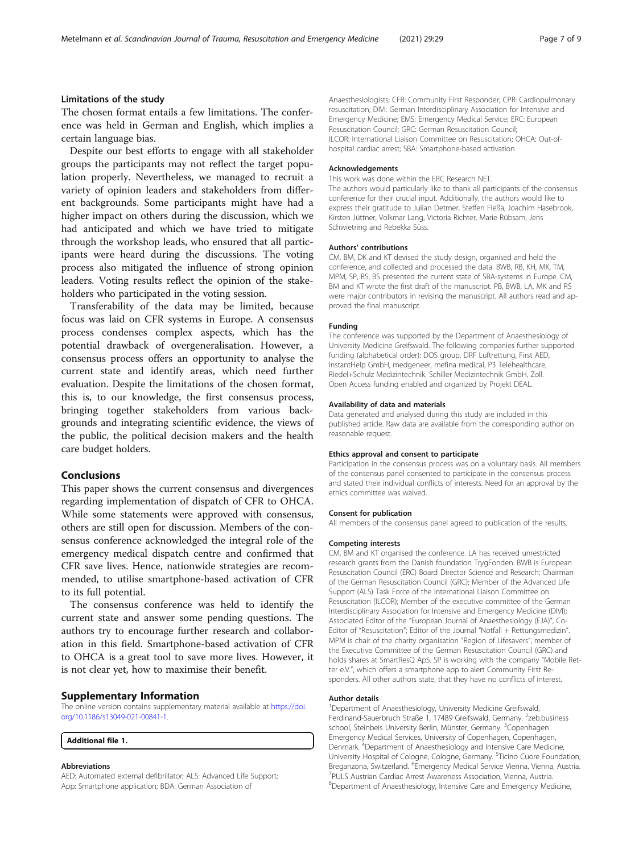# <span id="page-6-0"></span>Limitations of the study

The chosen format entails a few limitations. The conference was held in German and English, which implies a certain language bias.

Despite our best efforts to engage with all stakeholder groups the participants may not reflect the target population properly. Nevertheless, we managed to recruit a variety of opinion leaders and stakeholders from different backgrounds. Some participants might have had a higher impact on others during the discussion, which we had anticipated and which we have tried to mitigate through the workshop leads, who ensured that all participants were heard during the discussions. The voting process also mitigated the influence of strong opinion leaders. Voting results reflect the opinion of the stakeholders who participated in the voting session.

Transferability of the data may be limited, because focus was laid on CFR systems in Europe. A consensus process condenses complex aspects, which has the potential drawback of overgeneralisation. However, a consensus process offers an opportunity to analyse the current state and identify areas, which need further evaluation. Despite the limitations of the chosen format, this is, to our knowledge, the first consensus process, bringing together stakeholders from various backgrounds and integrating scientific evidence, the views of the public, the political decision makers and the health care budget holders.

# **Conclusions**

This paper shows the current consensus and divergences regarding implementation of dispatch of CFR to OHCA. While some statements were approved with consensus, others are still open for discussion. Members of the consensus conference acknowledged the integral role of the emergency medical dispatch centre and confirmed that CFR save lives. Hence, nationwide strategies are recommended, to utilise smartphone-based activation of CFR to its full potential.

The consensus conference was held to identify the current state and answer some pending questions. The authors try to encourage further research and collaboration in this field. Smartphone-based activation of CFR to OHCA is a great tool to save more lives. However, it is not clear yet, how to maximise their benefit.

#### Supplementary Information

The online version contains supplementary material available at [https://doi.](https://doi.org/10.1186/s13049-021-00841-1) [org/10.1186/s13049-021-00841-1.](https://doi.org/10.1186/s13049-021-00841-1)

Additional file 1.

#### Abbreviations

AED: Automated external defibrillator; ALS: Advanced Life Support; App: Smartphone application; BDA: German Association of

Anaesthesiologists; CFR: Community First Responder; CPR: Cardiopulmonary resuscitation; DIVI: German Interdisciplinary Association for Intensive and Emergency Medicine; EMS: Emergency Medical Service; ERC: European Resuscitation Council; GRC: German Resuscitation Council; ILCOR: International Liaison Committee on Resuscitation; OHCA: Out-ofhospital cardiac arrest; SBA: Smartphone-based activation

#### Acknowledgements

This work was done within the ERC Research NET.

The authors would particularly like to thank all participants of the consensus conference for their crucial input. Additionally, the authors would like to express their gratitude to Julian Detmer, Steffen Fleßa, Joachim Hasebrook, Kirsten Jüttner, Volkmar Lang, Victoria Richter, Marie Rübsam, Jens Schwietring and Rebekka Süss.

#### Authors' contributions

CM, BM, DK and KT devised the study design, organised and held the conference, and collected and processed the data. BWB, RB, KH, MK, TM, MPM, SP, RS, BS presented the current state of SBA-systems in Europe. CM, BM and KT wrote the first draft of the manuscript. PB, BWB, LA, MK and RS were major contributors in revising the manuscript. All authors read and approved the final manuscript.

#### Funding

The conference was supported by the Department of Anaesthesiology of University Medicine Greifswald. The following companies further supported funding (alphabetical order): DOS group, DRF Luftrettung, First AED, InstantHelp GmbH, medgeneer, mefina medical, P3 Telehealthcare, Riedel+Schulz Medizintechnik, Schiller Medizintechnik GmbH, Zoll. Open Access funding enabled and organized by Projekt DEAL.

#### Availability of data and materials

Data generated and analysed during this study are included in this published article. Raw data are available from the corresponding author on reasonable request.

#### Ethics approval and consent to participate

Participation in the consensus process was on a voluntary basis. All members of the consensus panel consented to participate in the consensus process and stated their individual conflicts of interests. Need for an approval by the ethics committee was waived.

#### Consent for publication

All members of the consensus panel agreed to publication of the results.

#### Competing interests

CM, BM and KT organised the conference. LA has received unrestricted research grants from the Danish foundation TrygFonden. BWB is European Resuscitation Council (ERC) Board Director Science and Research; Chairman of the German Resuscitation Council (GRC); Member of the Advanced Life Support (ALS) Task Force of the International Liaison Committee on Resuscitation (ILCOR); Member of the executive committee of the German Interdisciplinary Association for Intensive and Emergency Medicine (DIVI); Associated Editor of the "European Journal of Anaesthesiology (EJA)", Co-Editor of "Resuscitation"; Editor of the Journal "Notfall + Rettungsmedizin". MPM is chair of the charity organisation "Region of Lifesavers", member of the Executive Committee of the German Resuscitation Council (GRC) and holds shares at SmartResQ ApS. SP is working with the company "Mobile Retter e.V.", which offers a smartphone app to alert Community First Responders. All other authors state, that they have no conflicts of interest.

# Author details

<sup>1</sup>Department of Anaesthesiology, University Medicine Greifswald Ferdinand-Sauerbruch Straße 1, 17489 Greifswald, Germany. <sup>2</sup>zeb.business school, Steinbeis University Berlin, Münster, Germany. <sup>3</sup>Copenhagen Emergency Medical Services, University of Copenhagen, Copenhagen, Denmark. <sup>4</sup> Department of Anaesthesiology and Intensive Care Medicine, University Hospital of Cologne, Cologne, Germany. <sup>5</sup>Ticino Cuore Foundation, Breganzona, Switzerland. <sup>6</sup>Emergency Medical Service Vienna, Vienna, Austria.<br><sup>7</sup>PLUS Austrian Cardias Arrest Awarenoss Association. Vienna, Austria. PULS Austrian Cardiac Arrest Awareness Association, Vienna, Austria. <sup>8</sup>Department of Anaesthesiology, Intensive Care and Emergency Medicine,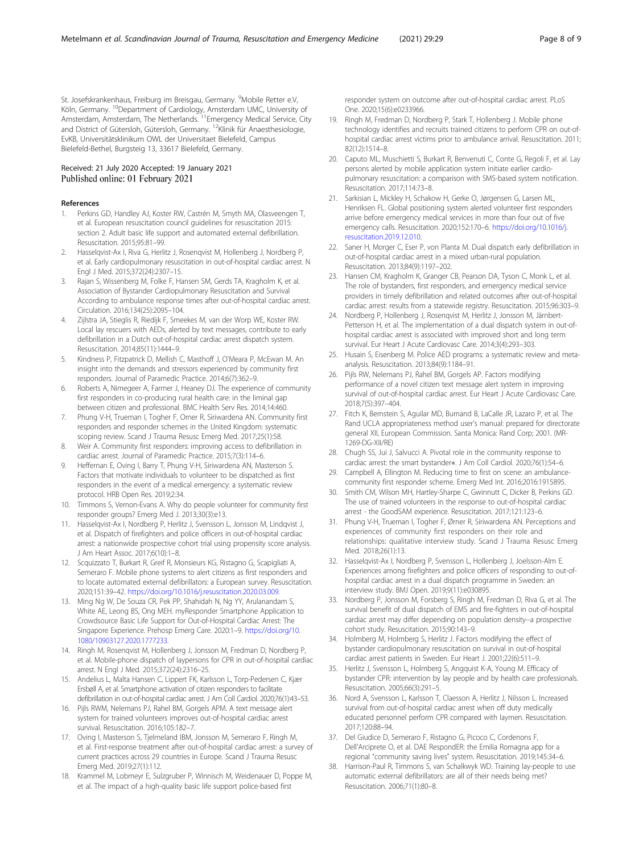<span id="page-7-0"></span>St. Josefskrankenhaus, Freiburg im Breisgau, Germany. <sup>9</sup>Mobile Retter e.V, Köln, Germany. <sup>10</sup>Department of Cardiology, Amsterdam UMC, University of Amsterdam, Amsterdam, The Netherlands. <sup>11</sup>Emergency Medical Service, City and District of Gütersloh, Gütersloh, Germany. 12Klinik für Anaesthesiologie, EvKB, Universitätsklinikum OWL der Universitaet Bielefeld, Campus Bielefeld-Bethel, Burgsteig 13, 33617 Bielefeld, Germany.

# Received: 21 July 2020 Accepted: 19 January 2021 Published online: 01 February 2021

#### References

- Perkins GD, Handley AJ, Koster RW, Castrén M, Smyth MA, Olasveengen T, et al. European resuscitation council guidelines for resuscitation 2015: section 2. Adult basic life support and automated external defibrillation. Resuscitation. 2015;95:81–99.
- 2. Hasselqvist-Ax I, Riva G, Herlitz J, Rosenqvist M, Hollenberg J, Nordberg P, et al. Early cardiopulmonary resuscitation in out-of-hospital cardiac arrest. N Engl J Med. 2015;372(24):2307–15.
- Rajan S, Wissenberg M, Folke F, Hansen SM, Gerds TA, Kragholm K, et al. Association of Bystander Cardiopulmonary Resuscitation and Survival According to ambulance response times after out-of-hospital cardiac arrest. Circulation. 2016;134(25):2095–104.
- 4. Zijlstra JA, Stieglis R, Riedijk F, Smeekes M, van der Worp WE, Koster RW. Local lay rescuers with AEDs, alerted by text messages, contribute to early defibrillation in a Dutch out-of-hospital cardiac arrest dispatch system. Resuscitation. 2014;85(11):1444–9.
- 5. Kindness P, Fitzpatrick D, Mellish C, Masthoff J, O'Meara P, McEwan M. An insight into the demands and stressors experienced by community first responders. Journal of Paramedic Practice. 2014;6(7):362–9.
- 6. Roberts A, Nimegeer A, Farmer J, Heaney DJ. The experience of community first responders in co-producing rural health care: in the liminal gap between citizen and professional. BMC Health Serv Res. 2014;14:460.
- 7. Phung V-H, Trueman I, Togher F, Orner R, Siriwardena AN. Community first responders and responder schemes in the United Kingdom: systematic scoping review. Scand J Trauma Resusc Emerg Med. 2017;25(1):58.
- 8. Weir A. Community first responders: improving access to defibrillation in cardiac arrest. Journal of Paramedic Practice. 2015;7(3):114–6.
- 9. Heffernan E, Oving I, Barry T, Phung V-H, Siriwardena AN, Masterson S. Factors that motivate individuals to volunteer to be dispatched as first responders in the event of a medical emergency: a systematic review protocol. HRB Open Res. 2019;2:34.
- 10. Timmons S, Vernon-Evans A. Why do people volunteer for community first responder groups? Emerg Med J. 2013;30(3):e13.
- 11. Hasselqvist-Ax I, Nordberg P, Herlitz J, Svensson L, Jonsson M, Lindqvist J, et al. Dispatch of firefighters and police officers in out-of-hospital cardiac arrest: a nationwide prospective cohort trial using propensity score analysis. J Am Heart Assoc. 2017;6(10):1–8.
- 12. Scquizzato T, Burkart R, Greif R, Monsieurs KG, Ristagno G, Scapigliati A, Semeraro F. Mobile phone systems to alert citizens as first responders and to locate automated external defibrillators: a European survey. Resuscitation. 2020;151:39–42. <https://doi.org/10.1016/j.resuscitation.2020.03.009>.
- 13. Ming Ng W, De Souza CR, Pek PP, Shahidah N, Ng YY, Arulanandam S, White AE, Leong BS, Ong MEH. myResponder Smartphone Application to Crowdsource Basic Life Support for Out-of-Hospital Cardiac Arrest: The Singapore Experience. Prehosp Emerg Care. 2020:1–9. [https://doi.org/10.](https://doi.org/10.1080/10903127.2020.1777233) [1080/10903127.2020.1777233.](https://doi.org/10.1080/10903127.2020.1777233)
- 14. Ringh M, Rosenqvist M, Hollenberg J, Jonsson M, Fredman D, Nordberg P, et al. Mobile-phone dispatch of laypersons for CPR in out-of-hospital cardiac arrest. N Engl J Med. 2015;372(24):2316–25.
- 15. Andelius L, Malta Hansen C, Lippert FK, Karlsson L, Torp-Pedersen C, Kjær Ersbøll A, et al. Smartphone activation of citizen responders to facilitate defibrillation in out-of-hospital cardiac arrest. J Am Coll Cardiol. 2020;76(1):43–53.
- 16. Pijls RWM, Nelemans PJ, Rahel BM, Gorgels APM. A text message alert system for trained volunteers improves out-of-hospital cardiac arrest survival. Resuscitation. 2016;105:182–7.
- 17. Oving I, Masterson S, Tjelmeland IBM, Jonsson M, Semeraro F, Ringh M, et al. First-response treatment after out-of-hospital cardiac arrest: a survey of current practices across 29 countries in Europe. Scand J Trauma Resusc Emerg Med. 2019;27(1):112.
- 18. Krammel M, Lobmeyr E, Sulzgruber P, Winnisch M, Weidenauer D, Poppe M, et al. The impact of a high-quality basic life support police-based first

responder system on outcome after out-of-hospital cardiac arrest. PLoS One. 2020;15(6):e0233966.

- 19. Ringh M, Fredman D, Nordberg P, Stark T, Hollenberg J. Mobile phone technology identifies and recruits trained citizens to perform CPR on out-ofhospital cardiac arrest victims prior to ambulance arrival. Resuscitation. 2011; 82(12):1514–8.
- 20. Caputo ML, Muschietti S, Burkart R, Benvenuti C, Conte G, Regoli F, et al. Lay persons alerted by mobile application system initiate earlier cardiopulmonary resuscitation: a comparison with SMS-based system notification. Resuscitation. 2017;114:73–8.
- 21. Sarkisian L, Mickley H, Schakow H, Gerke O, Jørgensen G, Larsen ML, Henriksen FL. Global positioning system alerted volunteer first responders arrive before emergency medical services in more than four out of five emergency calls. Resuscitation. 2020;152:170–6. [https://doi.org/10.1016/j.](https://doi.org/10.1016/j.resuscitation.2019.12.010) [resuscitation.2019.12.010.](https://doi.org/10.1016/j.resuscitation.2019.12.010)
- 22. Saner H, Morger C, Eser P, von Planta M. Dual dispatch early defibrillation in out-of-hospital cardiac arrest in a mixed urban-rural population. Resuscitation. 2013;84(9):1197–202.
- 23. Hansen CM, Kragholm K, Granger CB, Pearson DA, Tyson C, Monk L, et al. The role of bystanders, first responders, and emergency medical service providers in timely defibrillation and related outcomes after out-of-hospital cardiac arrest: results from a statewide registry. Resuscitation. 2015;96:303–9.
- 24. Nordberg P, Hollenberg J, Rosenqvist M, Herlitz J, Jonsson M, Järnbert-Petterson H, et al. The implementation of a dual dispatch system in out-ofhospital cardiac arrest is associated with improved short and long term survival. Eur Heart J Acute Cardiovasc Care. 2014;3(4):293–303.
- 25. Husain S, Eisenberg M. Police AED programs: a systematic review and metaanalysis. Resuscitation. 2013;84(9):1184–91.
- 26. Pijls RW, Nelemans PJ, Rahel BM, Gorgels AP. Factors modifying performance of a novel citizen text message alert system in improving survival of out-of-hospital cardiac arrest. Eur Heart J Acute Cardiovasc Care. 2018;7(5):397–404.
- 27. Fitch K, Bernstein S, Aguilar MD, Burnand B, LaCalle JR, Lazaro P, et al. The Rand UCLA appropriateness method user's manual: prepared for directorate general XII, European Commission. Santa Monica: Rand Corp; 2001. (MR-1269-DG-XII/RE)
- 28. Chugh SS, Jui J, Salvucci A. Pivotal role in the community response to cardiac arrest: the smart bystander∗. J Am Coll Cardiol. 2020;76(1):54–6.
- 29. Campbell A, Ellington M. Reducing time to first on scene: an ambulancecommunity first responder scheme. Emerg Med Int. 2016;2016:1915895.
- 30. Smith CM, Wilson MH, Hartley-Sharpe C, Gwinnutt C, Dicker B, Perkins GD. The use of trained volunteers in the response to out-of-hospital cardiac arrest - the GoodSAM experience. Resuscitation. 2017;121:123–6.
- 31. Phung V-H, Trueman I, Togher F, Ørner R, Siriwardena AN. Perceptions and experiences of community first responders on their role and relationships: qualitative interview study. Scand J Trauma Resusc Emerg Med. 2018;26(1):13.
- 32. Hasselqvist-Ax I, Nordberg P, Svensson L, Hollenberg J, Joelsson-Alm E. Experiences among firefighters and police officers of responding to out-ofhospital cardiac arrest in a dual dispatch programme in Sweden: an interview study. BMJ Open. 2019;9(11):e030895.
- 33. Nordberg P, Jonsson M, Forsberg S, Ringh M, Fredman D, Riva G, et al. The survival benefit of dual dispatch of EMS and fire-fighters in out-of-hospital cardiac arrest may differ depending on population density--a prospective cohort study. Resuscitation. 2015;90:143–9.
- 34. Holmberg M, Holmberg S, Herlitz J. Factors modifying the effect of bystander cardiopulmonary resuscitation on survival in out-of-hospital cardiac arrest patients in Sweden. Eur Heart J. 2001;22(6):511–9.
- 35. Herlitz J, Svensson L, Holmberg S, Angquist K-A, Young M. Efficacy of bystander CPR: intervention by lay people and by health care professionals. Resuscitation. 2005;66(3):291–5.
- 36. Nord A, Svensson L, Karlsson T, Claesson A, Herlitz J, Nilsson L. Increased survival from out-of-hospital cardiac arrest when off duty medically educated personnel perform CPR compared with laymen. Resuscitation. 2017;120:88–94.
- 37. Del Giudice D, Semeraro F, Ristagno G, Picoco C, Cordenons F, Dell'Arciprete O, et al. DAE RespondER: the Emilia Romagna app for a regional "community saving lives" system. Resuscitation. 2019;145:34–6.
- 38. Harrison-Paul R, Timmons S, van Schalkwyk WD. Training lay-people to use automatic external defibrillators: are all of their needs being met? Resuscitation. 2006;71(1):80–8.